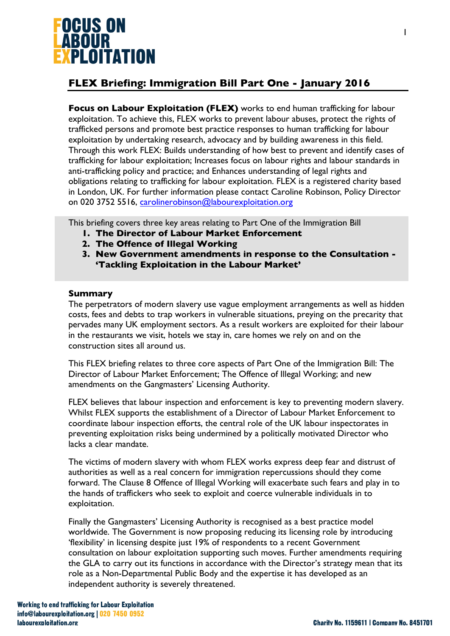

# **FLEX Briefing: Immigration Bill Part One - January 2016**

**Focus on Labour Exploitation (FLEX)** works to end human trafficking for labour exploitation. To achieve this, FLEX works to prevent labour abuses, protect the rights of trafficked persons and promote best practice responses to human trafficking for labour exploitation by undertaking research, advocacy and by building awareness in this field. Through this work FLEX: Builds understanding of how best to prevent and identify cases of trafficking for labour exploitation; Increases focus on labour rights and labour standards in anti-trafficking policy and practice; and Enhances understanding of legal rights and obligations relating to trafficking for labour exploitation. FLEX is a registered charity based in London, UK. For further information please contact Caroline Robinson, Policy Director on 020 3752 5516, carolinerobinson@labourexploitation.org

This briefing covers three key areas relating to Part One of the Immigration Bill

- **1. The Director of Labour Market Enforcement**
- **2. The Offence of Illegal Working**
- **3. New Government amendments in response to the Consultation - 'Tackling Exploitation in the Labour Market'**

#### **Summary**

The perpetrators of modern slavery use vague employment arrangements as well as hidden costs, fees and debts to trap workers in vulnerable situations, preying on the precarity that pervades many UK employment sectors. As a result workers are exploited for their labour in the restaurants we visit, hotels we stay in, care homes we rely on and on the construction sites all around us.

This FLEX briefing relates to three core aspects of Part One of the Immigration Bill: The Director of Labour Market Enforcement; The Offence of Illegal Working; and new amendments on the Gangmasters' Licensing Authority.

FLEX believes that labour inspection and enforcement is key to preventing modern slavery. Whilst FLEX supports the establishment of a Director of Labour Market Enforcement to coordinate labour inspection efforts, the central role of the UK labour inspectorates in preventing exploitation risks being undermined by a politically motivated Director who lacks a clear mandate.

The victims of modern slavery with whom FLEX works express deep fear and distrust of authorities as well as a real concern for immigration repercussions should they come forward. The Clause 8 Offence of Illegal Working will exacerbate such fears and play in to the hands of traffickers who seek to exploit and coerce vulnerable individuals in to exploitation.

Finally the Gangmasters' Licensing Authority is recognised as a best practice model worldwide. The Government is now proposing reducing its licensing role by introducing 'flexibility' in licensing despite just 19% of respondents to a recent Government consultation on labour exploitation supporting such moves. Further amendments requiring the GLA to carry out its functions in accordance with the Director's strategy mean that its role as a Non-Departmental Public Body and the expertise it has developed as an independent authority is severely threatened.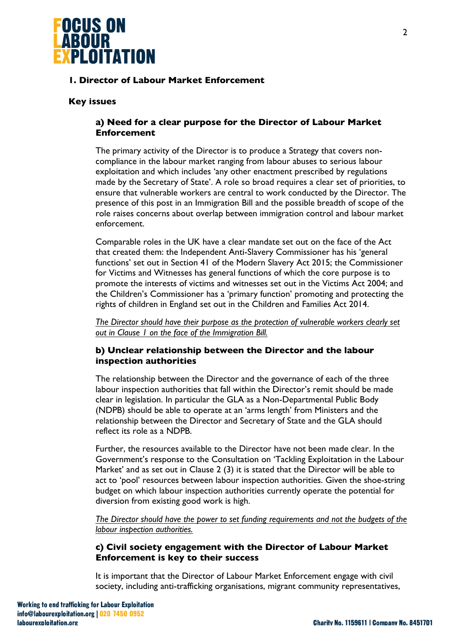

# **1. Director of Labour Market Enforcement**

### **Key issues**

# **a) Need for a clear purpose for the Director of Labour Market Enforcement**

The primary activity of the Director is to produce a Strategy that covers noncompliance in the labour market ranging from labour abuses to serious labour exploitation and which includes 'any other enactment prescribed by regulations made by the Secretary of State'. A role so broad requires a clear set of priorities, to ensure that vulnerable workers are central to work conducted by the Director. The presence of this post in an Immigration Bill and the possible breadth of scope of the role raises concerns about overlap between immigration control and labour market enforcement.

Comparable roles in the UK have a clear mandate set out on the face of the Act that created them: the Independent Anti-Slavery Commissioner has his 'general functions' set out in Section 41 of the Modern Slavery Act 2015; the Commissioner for Victims and Witnesses has general functions of which the core purpose is to promote the interests of victims and witnesses set out in the Victims Act 2004; and the Children's Commissioner has a 'primary function' promoting and protecting the rights of children in England set out in the Children and Families Act 2014.

*The Director should have their purpose as the protection of vulnerable workers clearly set out in Clause 1 on the face of the Immigration Bill.* 

# **b) Unclear relationship between the Director and the labour inspection authorities**

The relationship between the Director and the governance of each of the three labour inspection authorities that fall within the Director's remit should be made clear in legislation. In particular the GLA as a Non-Departmental Public Body (NDPB) should be able to operate at an 'arms length' from Ministers and the relationship between the Director and Secretary of State and the GLA should reflect its role as a NDPB.

Further, the resources available to the Director have not been made clear. In the Government's response to the Consultation on 'Tackling Exploitation in the Labour Market' and as set out in Clause 2 (3) it is stated that the Director will be able to act to 'pool' resources between labour inspection authorities. Given the shoe-string budget on which labour inspection authorities currently operate the potential for diversion from existing good work is high.

*The Director should have the power to set funding requirements and not the budgets of the labour inspection authorities.* 

# **c) Civil society engagement with the Director of Labour Market Enforcement is key to their success**

It is important that the Director of Labour Market Enforcement engage with civil society, including anti-trafficking organisations, migrant community representatives,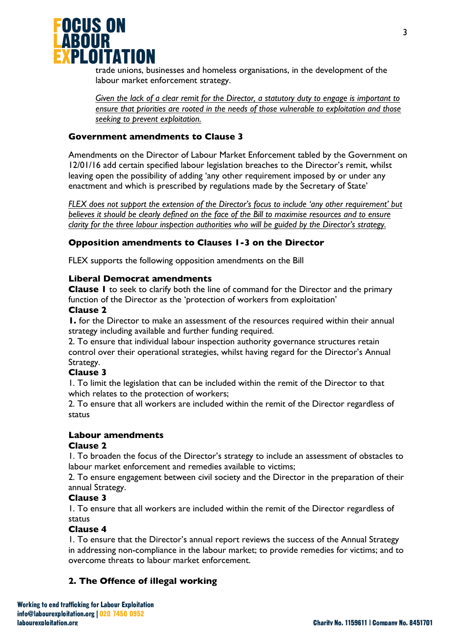

trade unions, businesses and homeless organisations, in the development of the labour market enforcement strategy.

*Given the lack of a clear remit for the Director, a statutory duty to engage is important to ensure that priorities are rooted in the needs of those vulnerable to exploitation and those seeking to prevent exploitation.* 

# **Government amendments to Clause 3**

Amendments on the Director of Labour Market Enforcement tabled by the Government on 12/01/16 add certain specified labour legislation breaches to the Director's remit, whilst leaving open the possibility of adding 'any other requirement imposed by or under any enactment and which is prescribed by regulations made by the Secretary of State'

*FLEX does not support the extension of the Director's focus to include 'any other requirement' but believes it should be clearly defined on the face of the Bill to maximise resources and to ensure clarity for the three labour inspection authorities who will be guided by the Director's strategy.* 

# **Opposition amendments to Clauses 1-3 on the Director**

FLEX supports the following opposition amendments on the Bill

### **Liberal Democrat amendments**

**Clause 1** to seek to clarify both the line of command for the Director and the primary function of the Director as the 'protection of workers from exploitation'

#### **Clause 2**

**1.** for the Director to make an assessment of the resources required within their annual strategy including available and further funding required.

2. To ensure that individual labour inspection authority governance structures retain control over their operational strategies, whilst having regard for the Director's Annual Strategy.

### **Clause 3**

1. To limit the legislation that can be included within the remit of the Director to that which relates to the protection of workers;

2. To ensure that all workers are included within the remit of the Director regardless of status

### **Labour amendments**

### **Clause 2**

1. To broaden the focus of the Director's strategy to include an assessment of obstacles to labour market enforcement and remedies available to victims;

2. To ensure engagement between civil society and the Director in the preparation of their annual Strategy.

# **Clause 3**

1. To ensure that all workers are included within the remit of the Director regardless of status

### **Clause 4**

1. To ensure that the Director's annual report reviews the success of the Annual Strategy in addressing non-compliance in the labour market; to provide remedies for victims; and to overcome threats to labour market enforcement.

# **2. The Offence of illegal working**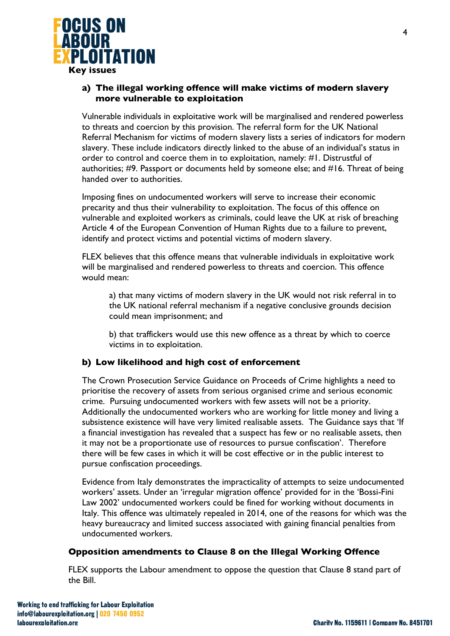

**Key issues**

# **a) The illegal working offence will make victims of modern slavery more vulnerable to exploitation**

Vulnerable individuals in exploitative work will be marginalised and rendered powerless to threats and coercion by this provision. The referral form for the UK National Referral Mechanism for victims of modern slavery lists a series of indicators for modern slavery. These include indicators directly linked to the abuse of an individual's status in order to control and coerce them in to exploitation, namely: #1. Distrustful of authorities; #9. Passport or documents held by someone else; and #16. Threat of being handed over to authorities.

Imposing fines on undocumented workers will serve to increase their economic precarity and thus their vulnerability to exploitation. The focus of this offence on vulnerable and exploited workers as criminals, could leave the UK at risk of breaching Article 4 of the European Convention of Human Rights due to a failure to prevent, identify and protect victims and potential victims of modern slavery.

FLEX believes that this offence means that vulnerable individuals in exploitative work will be marginalised and rendered powerless to threats and coercion. This offence would mean:

a) that many victims of modern slavery in the UK would not risk referral in to the UK national referral mechanism if a negative conclusive grounds decision could mean imprisonment; and

b) that traffickers would use this new offence as a threat by which to coerce victims in to exploitation.

# **b) Low likelihood and high cost of enforcement**

The Crown Prosecution Service Guidance on Proceeds of Crime highlights a need to prioritise the recovery of assets from serious organised crime and serious economic crime. Pursuing undocumented workers with few assets will not be a priority. Additionally the undocumented workers who are working for little money and living a subsistence existence will have very limited realisable assets. The Guidance says that 'If a financial investigation has revealed that a suspect has few or no realisable assets, then it may not be a proportionate use of resources to pursue confiscation'. Therefore there will be few cases in which it will be cost effective or in the public interest to pursue confiscation proceedings.

Evidence from Italy demonstrates the impracticality of attempts to seize undocumented workers' assets. Under an 'irregular migration offence' provided for in the 'Bossi-Fini Law 2002' undocumented workers could be fined for working without documents in Italy. This offence was ultimately repealed in 2014, one of the reasons for which was the heavy bureaucracy and limited success associated with gaining financial penalties from undocumented workers.

### **Opposition amendments to Clause 8 on the Illegal Working Offence**

FLEX supports the Labour amendment to oppose the question that Clause 8 stand part of the Bill.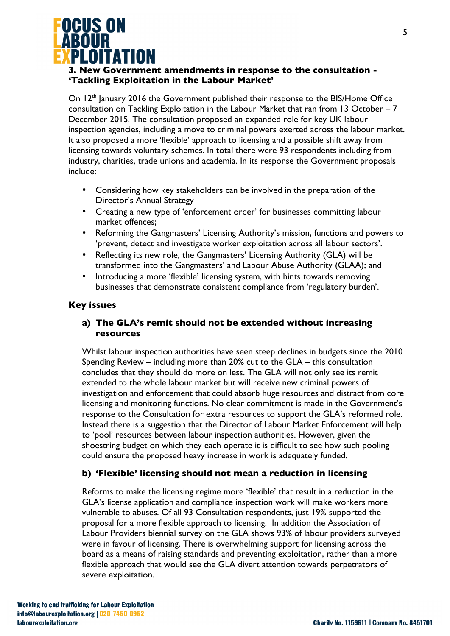

# **3. New Government amendments in response to the consultation - 'Tackling Exploitation in the Labour Market'**

On 12<sup>th</sup> January 2016 the Government published their response to the BIS/Home Office consultation on Tackling Exploitation in the Labour Market that ran from 13 October – 7 December 2015. The consultation proposed an expanded role for key UK labour inspection agencies, including a move to criminal powers exerted across the labour market. It also proposed a more 'flexible' approach to licensing and a possible shift away from licensing towards voluntary schemes. In total there were 93 respondents including from industry, charities, trade unions and academia. In its response the Government proposals include:

- Considering how key stakeholders can be involved in the preparation of the Director's Annual Strategy
- Creating a new type of 'enforcement order' for businesses committing labour market offences;
- Reforming the Gangmasters' Licensing Authority's mission, functions and powers to 'prevent, detect and investigate worker exploitation across all labour sectors'.
- Reflecting its new role, the Gangmasters' Licensing Authority (GLA) will be transformed into the Gangmasters' and Labour Abuse Authority (GLAA); and
- Introducing a more 'flexible' licensing system, with hints towards removing businesses that demonstrate consistent compliance from 'regulatory burden'.

### **Key issues**

# **a) The GLA's remit should not be extended without increasing resources**

Whilst labour inspection authorities have seen steep declines in budgets since the 2010 Spending Review – including more than 20% cut to the GLA – this consultation concludes that they should do more on less. The GLA will not only see its remit extended to the whole labour market but will receive new criminal powers of investigation and enforcement that could absorb huge resources and distract from core licensing and monitoring functions. No clear commitment is made in the Government's response to the Consultation for extra resources to support the GLA's reformed role. Instead there is a suggestion that the Director of Labour Market Enforcement will help to 'pool' resources between labour inspection authorities. However, given the shoestring budget on which they each operate it is difficult to see how such pooling could ensure the proposed heavy increase in work is adequately funded.

# **b) 'Flexible' licensing should not mean a reduction in licensing**

Reforms to make the licensing regime more 'flexible' that result in a reduction in the GLA's license application and compliance inspection work will make workers more vulnerable to abuses. Of all 93 Consultation respondents, just 19% supported the proposal for a more flexible approach to licensing. In addition the Association of Labour Providers biennial survey on the GLA shows 93% of labour providers surveyed were in favour of licensing. There is overwhelming support for licensing across the board as a means of raising standards and preventing exploitation, rather than a more flexible approach that would see the GLA divert attention towards perpetrators of severe exploitation.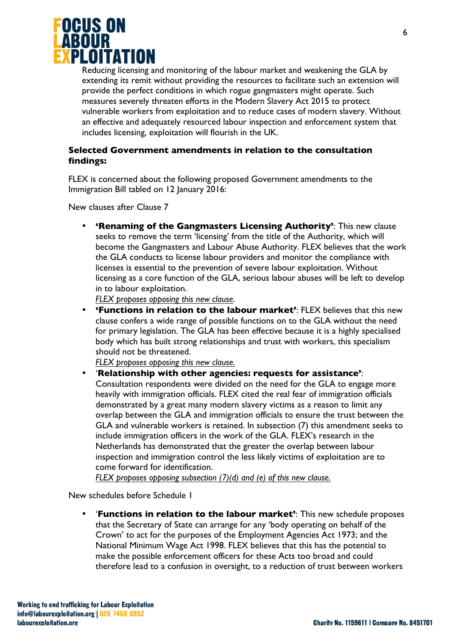

Reducing licensing and monitoring of the labour market and weakening the GLA by extending its remit without providing the resources to facilitate such an extension will provide the perfect conditions in which rogue gangmasters might operate. Such measures severely threaten efforts in the Modern Slavery Act 2015 to protect vulnerable workers from exploitation and to reduce cases of modern slavery. Without an effective and adequately resourced labour inspection and enforcement system that includes licensing, exploitation will flourish in the UK.

### **Selected Government amendments in relation to the consultation findings:**

FLEX is concerned about the following proposed Government amendments to the Immigration Bill tabled on 12 January 2016:

New clauses after Clause 7

• **'Renaming of the Gangmasters Licensing Authority'**: This new clause seeks to remove the term 'licensing' from the title of the Authority, which will become the Gangmasters and Labour Abuse Authority. FLEX believes that the work the GLA conducts to license labour providers and monitor the compliance with licenses is essential to the prevention of severe labour exploitation. Without licensing as a core function of the GLA, serious labour abuses will be left to develop in to labour exploitation.

*FLEX proposes opposing this new clause*.

• **'Functions in relation to the labour market'**: FLEX believes that this new clause confers a wide range of possible functions on to the GLA without the need for primary legislation. The GLA has been effective because it is a highly specialised body which has built strong relationships and trust with workers, this specialism should not be threatened.

*FLEX proposes opposing this new clause.* 

• '**Relationship with other agencies: requests for assistance'**: Consultation respondents were divided on the need for the GLA to engage more heavily with immigration officials. FLEX cited the real fear of immigration officials demonstrated by a great many modern slavery victims as a reason to limit any overlap between the GLA and immigration officials to ensure the trust between the GLA and vulnerable workers is retained. In subsection (7) this amendment seeks to include immigration officers in the work of the GLA. FLEX's research in the Netherlands has demonstrated that the greater the overlap between labour inspection and immigration control the less likely victims of exploitation are to come forward for identification.

*FLEX proposes opposing subsection (7)(d) and (e) of this new clause.*

New schedules before Schedule 1

• '**Functions in relation to the labour market'**: This new schedule proposes that the Secretary of State can arrange for any 'body operating on behalf of the Crown' to act for the purposes of the Employment Agencies Act 1973; and the National Minimum Wage Act 1998. FLEX believes that this has the potential to make the possible enforcement officers for these Acts too broad and could therefore lead to a confusion in oversight, to a reduction of trust between workers